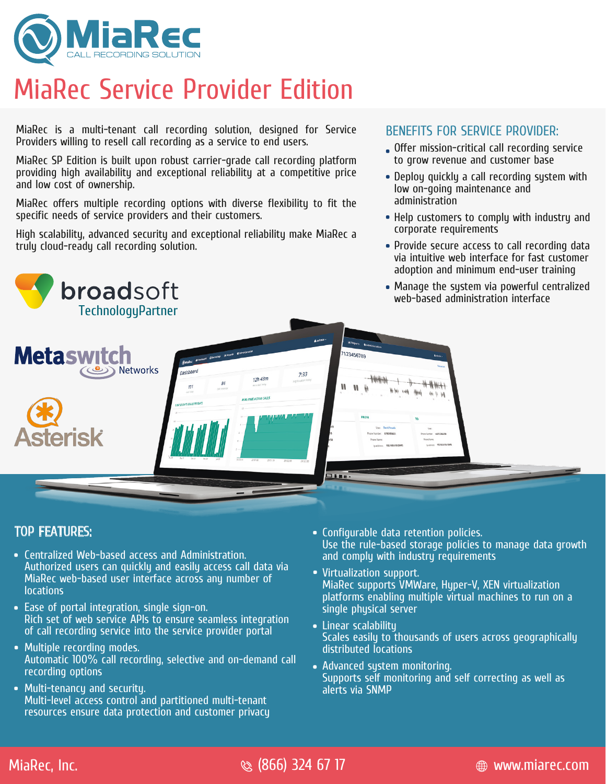

# MiaRec Service Provider Edition

MiaRec is a multi-tenant call recording solution, designed for Service Providers willing to resell call recording as a service to end users.

MiaRec SP Edition is built upon robust carrier-grade call recording platform providing high availability and exceptional reliability at a competitive price and low cost of ownership.

MiaRec offers multiple recording options with diverse flexibility to fit the specific needs of service providers and their customers.

High scalability, advanced security and exceptional reliability make MiaRec a truly cloud-ready call recording solution.



### TOP FEATURES:

- Centralized Web-based access and Administration. Authorized users can quickly and easily access call data via MiaRec web-based user interface across any number of **locations**
- Ease of portal integration, single sign-on. Rich set of web service APIs to ensure seamless integration of call recording service into the service provider portal
- Multiple recording modes. Automatic 100% call recording, selective and on-demand call recording options
- Multi-tenancy and security. Multi-level access control and partitioned multi-tenant resources ensure data protection and customer privacy

Configurable data retention policies. Use the rule-based storage policies to manage data growth and comply with industry requirements

BENEFITS FOR SERVICE PROVIDER:

low on-going maintenance and

corporate requirements

administration

Offer mission-critical call recording service to grow revenue and customer base

Deploy quickly a call recording system with

• Help customers to comply with industry and

Provide secure access to call recording data via intuitive web interface for fast customer

- Virtualization support. MiaRec supports VMWare, Hyper-V, XEN virtualization platforms enabling multiple virtual machines to run on a single physical server
- Linear scalability Scales easily to thousands of users across geographically distributed locations
- Advanced sustem monitoring. Supports self monitoring and self correcting as well as alerts via SNMP

MiaRec, Inc. (866) 324 67 17 www.miarec.com